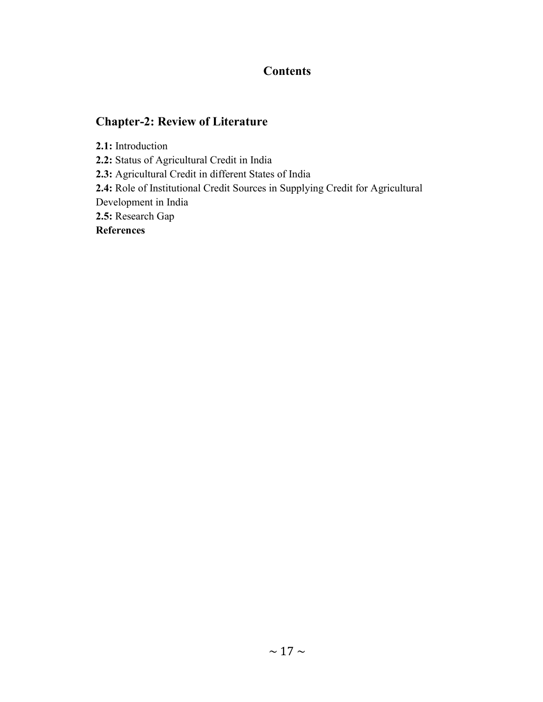## **Contents**

# Chapter-2: Review of Literature

2.1: Introduction

2.2: Status of Agricultural Credit in India

2.3: Agricultural Credit in different States of India

2.4: Role of Institutional Credit Sources in Supplying Credit for Agricultural

Development in India

2.5: Research Gap

**References**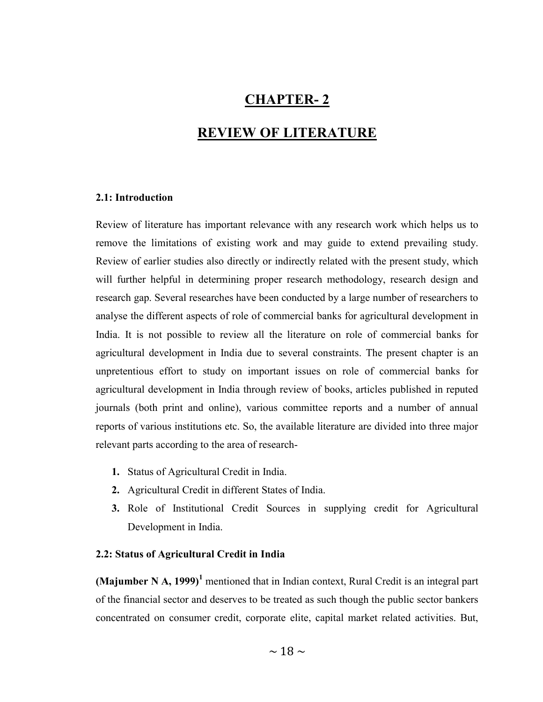## CHAPTER- 2

### REVIEW OF LITERATURE

### 2.1: Introduction

Review of literature has important relevance with any research work which helps us to remove the limitations of existing work and may guide to extend prevailing study. Review of earlier studies also directly or indirectly related with the present study, which will further helpful in determining proper research methodology, research design and research gap. Several researches have been conducted by a large number of researchers to analyse the different aspects of role of commercial banks for agricultural development in India. It is not possible to review all the literature on role of commercial banks for agricultural development in India due to several constraints. The present chapter is an unpretentious effort to study on important issues on role of commercial banks for agricultural development in India through review of books, articles published in reputed journals (both print and online), various committee reports and a number of annual reports of various institutions etc. So, the available literature are divided into three major relevant parts according to the area of research-

- 1. Status of Agricultural Credit in India.
- 2. Agricultural Credit in different States of India.
- 3. Role of Institutional Credit Sources in supplying credit for Agricultural Development in India.

### 2.2: Status of Agricultural Credit in India

(Majumber N A, 1999)<sup>1</sup> mentioned that in Indian context, Rural Credit is an integral part of the financial sector and deserves to be treated as such though the public sector bankers concentrated on consumer credit, corporate elite, capital market related activities. But,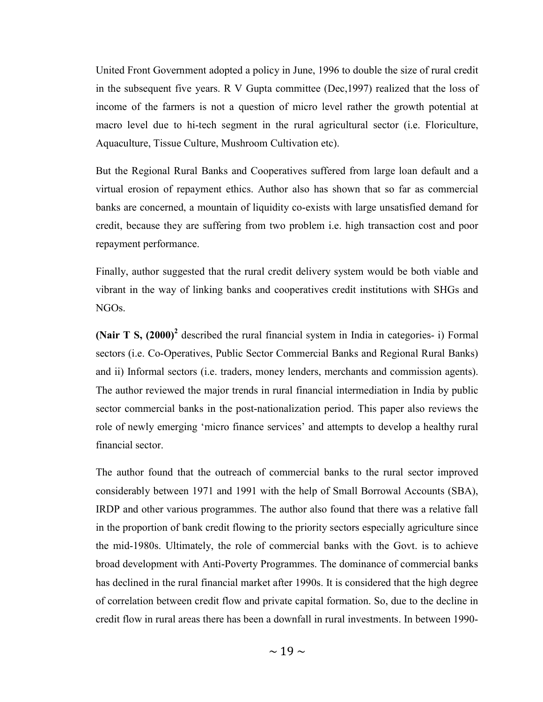United Front Government adopted a policy in June, 1996 to double the size of rural credit in the subsequent five years. R V Gupta committee (Dec,1997) realized that the loss of income of the farmers is not a question of micro level rather the growth potential at macro level due to hi-tech segment in the rural agricultural sector (i.e. Floriculture, Aquaculture, Tissue Culture, Mushroom Cultivation etc).

But the Regional Rural Banks and Cooperatives suffered from large loan default and a virtual erosion of repayment ethics. Author also has shown that so far as commercial banks are concerned, a mountain of liquidity co-exists with large unsatisfied demand for credit, because they are suffering from two problem i.e. high transaction cost and poor repayment performance.

Finally, author suggested that the rural credit delivery system would be both viable and vibrant in the way of linking banks and cooperatives credit institutions with SHGs and NGOs.

(Nair T S,  $(2000)^2$  described the rural financial system in India in categories- i) Formal sectors (i.e. Co-Operatives, Public Sector Commercial Banks and Regional Rural Banks) and ii) Informal sectors (i.e. traders, money lenders, merchants and commission agents). The author reviewed the major trends in rural financial intermediation in India by public sector commercial banks in the post-nationalization period. This paper also reviews the role of newly emerging 'micro finance services' and attempts to develop a healthy rural financial sector.

The author found that the outreach of commercial banks to the rural sector improved considerably between 1971 and 1991 with the help of Small Borrowal Accounts (SBA), IRDP and other various programmes. The author also found that there was a relative fall in the proportion of bank credit flowing to the priority sectors especially agriculture since the mid-1980s. Ultimately, the role of commercial banks with the Govt. is to achieve broad development with Anti-Poverty Programmes. The dominance of commercial banks has declined in the rural financial market after 1990s. It is considered that the high degree of correlation between credit flow and private capital formation. So, due to the decline in credit flow in rural areas there has been a downfall in rural investments. In between 1990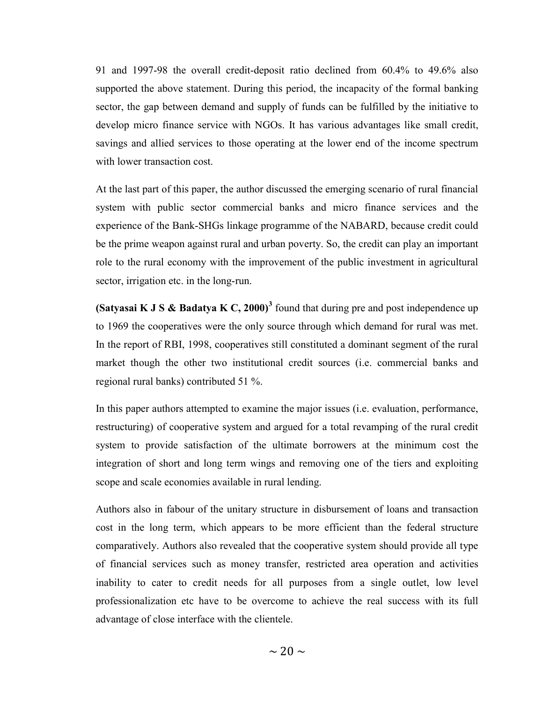91 and 1997-98 the overall credit-deposit ratio declined from 60.4% to 49.6% also supported the above statement. During this period, the incapacity of the formal banking sector, the gap between demand and supply of funds can be fulfilled by the initiative to develop micro finance service with NGOs. It has various advantages like small credit, savings and allied services to those operating at the lower end of the income spectrum with lower transaction cost.

At the last part of this paper, the author discussed the emerging scenario of rural financial system with public sector commercial banks and micro finance services and the experience of the Bank-SHGs linkage programme of the NABARD, because credit could be the prime weapon against rural and urban poverty. So, the credit can play an important role to the rural economy with the improvement of the public investment in agricultural sector, irrigation etc. in the long-run.

(Satyasai K J S & Badatya K C, 2000)<sup>3</sup> found that during pre and post independence up to 1969 the cooperatives were the only source through which demand for rural was met. In the report of RBI, 1998, cooperatives still constituted a dominant segment of the rural market though the other two institutional credit sources (i.e. commercial banks and regional rural banks) contributed 51 %.

In this paper authors attempted to examine the major issues (i.e. evaluation, performance, restructuring) of cooperative system and argued for a total revamping of the rural credit system to provide satisfaction of the ultimate borrowers at the minimum cost the integration of short and long term wings and removing one of the tiers and exploiting scope and scale economies available in rural lending.

Authors also in fabour of the unitary structure in disbursement of loans and transaction cost in the long term, which appears to be more efficient than the federal structure comparatively. Authors also revealed that the cooperative system should provide all type of financial services such as money transfer, restricted area operation and activities inability to cater to credit needs for all purposes from a single outlet, low level professionalization etc have to be overcome to achieve the real success with its full advantage of close interface with the clientele.

 $\sim$  20  $\sim$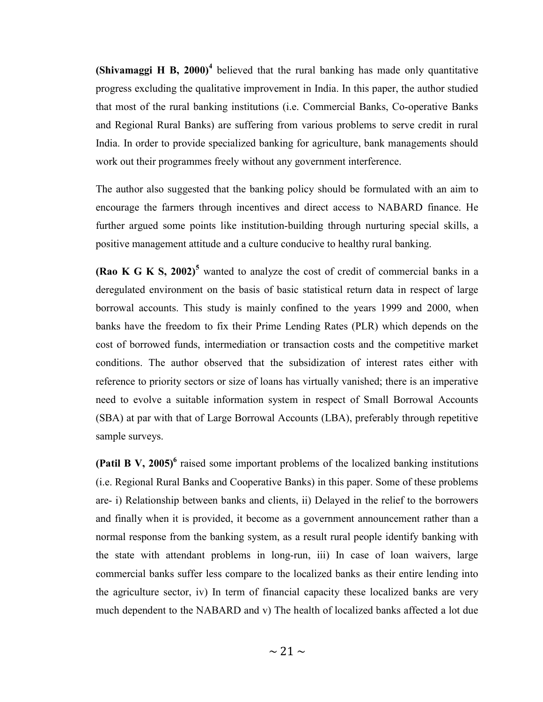(Shivamaggi H B, 2000)<sup>4</sup> believed that the rural banking has made only quantitative progress excluding the qualitative improvement in India. In this paper, the author studied that most of the rural banking institutions (i.e. Commercial Banks, Co-operative Banks and Regional Rural Banks) are suffering from various problems to serve credit in rural India. In order to provide specialized banking for agriculture, bank managements should work out their programmes freely without any government interference.

The author also suggested that the banking policy should be formulated with an aim to encourage the farmers through incentives and direct access to NABARD finance. He further argued some points like institution-building through nurturing special skills, a positive management attitude and a culture conducive to healthy rural banking.

(Rao K G K S, 2002)<sup>5</sup> wanted to analyze the cost of credit of commercial banks in a deregulated environment on the basis of basic statistical return data in respect of large borrowal accounts. This study is mainly confined to the years 1999 and 2000, when banks have the freedom to fix their Prime Lending Rates (PLR) which depends on the cost of borrowed funds, intermediation or transaction costs and the competitive market conditions. The author observed that the subsidization of interest rates either with reference to priority sectors or size of loans has virtually vanished; there is an imperative need to evolve a suitable information system in respect of Small Borrowal Accounts (SBA) at par with that of Large Borrowal Accounts (LBA), preferably through repetitive sample surveys.

(Patil B V, 2005)<sup>6</sup> raised some important problems of the localized banking institutions (i.e. Regional Rural Banks and Cooperative Banks) in this paper. Some of these problems are- i) Relationship between banks and clients, ii) Delayed in the relief to the borrowers and finally when it is provided, it become as a government announcement rather than a normal response from the banking system, as a result rural people identify banking with the state with attendant problems in long-run, iii) In case of loan waivers, large commercial banks suffer less compare to the localized banks as their entire lending into the agriculture sector, iv) In term of financial capacity these localized banks are very much dependent to the NABARD and v) The health of localized banks affected a lot due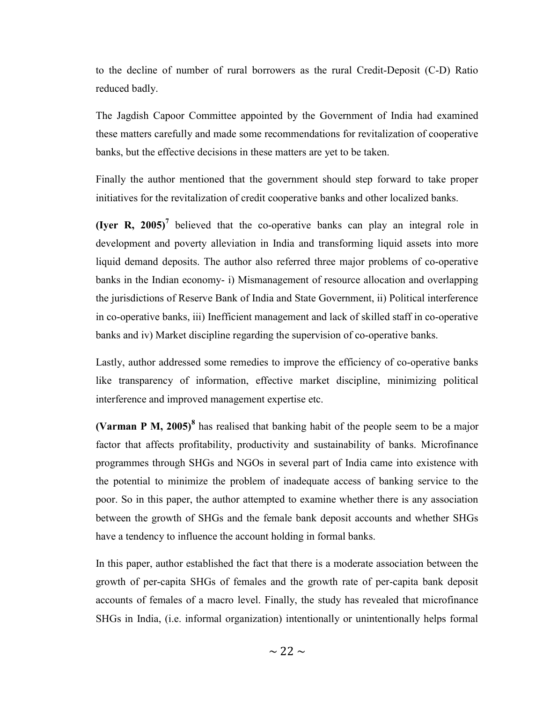to the decline of number of rural borrowers as the rural Credit-Deposit (C-D) Ratio reduced badly.

The Jagdish Capoor Committee appointed by the Government of India had examined these matters carefully and made some recommendations for revitalization of cooperative banks, but the effective decisions in these matters are yet to be taken.

Finally the author mentioned that the government should step forward to take proper initiatives for the revitalization of credit cooperative banks and other localized banks.

(Iyer R, 2005)<sup>7</sup> believed that the co-operative banks can play an integral role in development and poverty alleviation in India and transforming liquid assets into more liquid demand deposits. The author also referred three major problems of co-operative banks in the Indian economy- i) Mismanagement of resource allocation and overlapping the jurisdictions of Reserve Bank of India and State Government, ii) Political interference in co-operative banks, iii) Inefficient management and lack of skilled staff in co-operative banks and iv) Market discipline regarding the supervision of co-operative banks.

Lastly, author addressed some remedies to improve the efficiency of co-operative banks like transparency of information, effective market discipline, minimizing political interference and improved management expertise etc.

(Varman P M, 2005)<sup>8</sup> has realised that banking habit of the people seem to be a major factor that affects profitability, productivity and sustainability of banks. Microfinance programmes through SHGs and NGOs in several part of India came into existence with the potential to minimize the problem of inadequate access of banking service to the poor. So in this paper, the author attempted to examine whether there is any association between the growth of SHGs and the female bank deposit accounts and whether SHGs have a tendency to influence the account holding in formal banks.

In this paper, author established the fact that there is a moderate association between the growth of per-capita SHGs of females and the growth rate of per-capita bank deposit accounts of females of a macro level. Finally, the study has revealed that microfinance SHGs in India, (i.e. informal organization) intentionally or unintentionally helps formal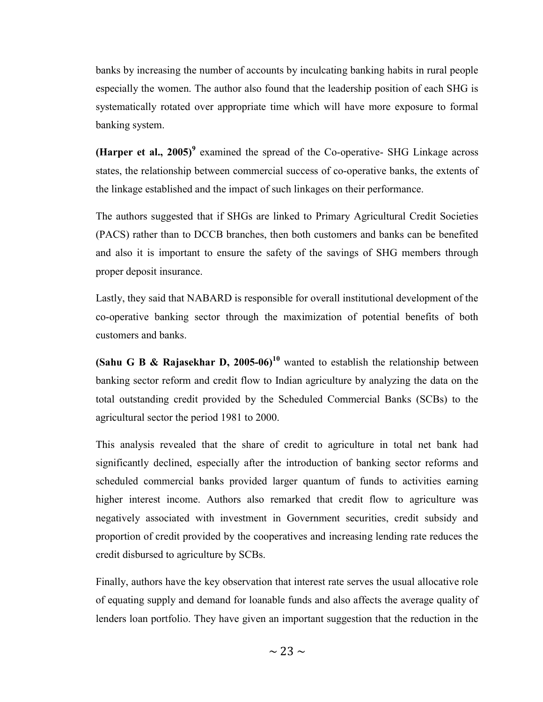banks by increasing the number of accounts by inculcating banking habits in rural people especially the women. The author also found that the leadership position of each SHG is systematically rotated over appropriate time which will have more exposure to formal banking system.

(Harper et al., 2005)<sup>9</sup> examined the spread of the Co-operative- SHG Linkage across states, the relationship between commercial success of co-operative banks, the extents of the linkage established and the impact of such linkages on their performance.

The authors suggested that if SHGs are linked to Primary Agricultural Credit Societies (PACS) rather than to DCCB branches, then both customers and banks can be benefited and also it is important to ensure the safety of the savings of SHG members through proper deposit insurance.

Lastly, they said that NABARD is responsible for overall institutional development of the co-operative banking sector through the maximization of potential benefits of both customers and banks.

(Sahu G B & Rajasekhar D, 2005-06)<sup>10</sup> wanted to establish the relationship between banking sector reform and credit flow to Indian agriculture by analyzing the data on the total outstanding credit provided by the Scheduled Commercial Banks (SCBs) to the agricultural sector the period 1981 to 2000.

This analysis revealed that the share of credit to agriculture in total net bank had significantly declined, especially after the introduction of banking sector reforms and scheduled commercial banks provided larger quantum of funds to activities earning higher interest income. Authors also remarked that credit flow to agriculture was negatively associated with investment in Government securities, credit subsidy and proportion of credit provided by the cooperatives and increasing lending rate reduces the credit disbursed to agriculture by SCBs.

Finally, authors have the key observation that interest rate serves the usual allocative role of equating supply and demand for loanable funds and also affects the average quality of lenders loan portfolio. They have given an important suggestion that the reduction in the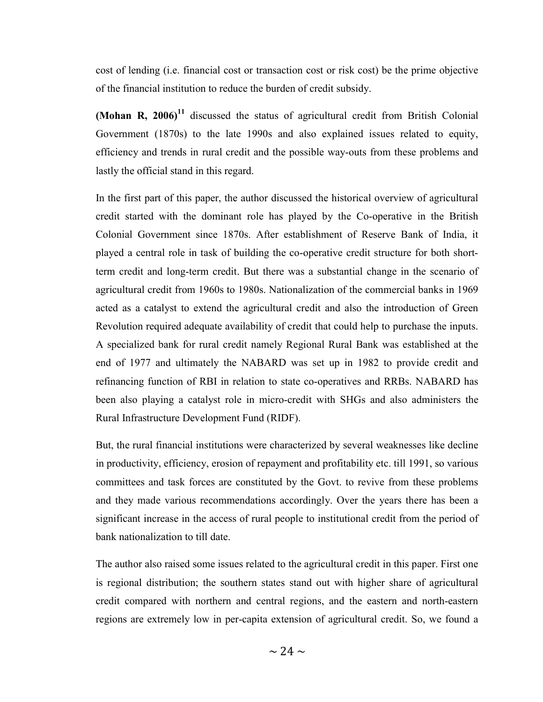cost of lending (i.e. financial cost or transaction cost or risk cost) be the prime objective of the financial institution to reduce the burden of credit subsidy.

(Mohan R, 2006)<sup>11</sup> discussed the status of agricultural credit from British Colonial Government (1870s) to the late 1990s and also explained issues related to equity, efficiency and trends in rural credit and the possible way-outs from these problems and lastly the official stand in this regard.

In the first part of this paper, the author discussed the historical overview of agricultural credit started with the dominant role has played by the Co-operative in the British Colonial Government since 1870s. After establishment of Reserve Bank of India, it played a central role in task of building the co-operative credit structure for both shortterm credit and long-term credit. But there was a substantial change in the scenario of agricultural credit from 1960s to 1980s. Nationalization of the commercial banks in 1969 acted as a catalyst to extend the agricultural credit and also the introduction of Green Revolution required adequate availability of credit that could help to purchase the inputs. A specialized bank for rural credit namely Regional Rural Bank was established at the end of 1977 and ultimately the NABARD was set up in 1982 to provide credit and refinancing function of RBI in relation to state co-operatives and RRBs. NABARD has been also playing a catalyst role in micro-credit with SHGs and also administers the Rural Infrastructure Development Fund (RIDF).

But, the rural financial institutions were characterized by several weaknesses like decline in productivity, efficiency, erosion of repayment and profitability etc. till 1991, so various committees and task forces are constituted by the Govt. to revive from these problems and they made various recommendations accordingly. Over the years there has been a significant increase in the access of rural people to institutional credit from the period of bank nationalization to till date.

The author also raised some issues related to the agricultural credit in this paper. First one is regional distribution; the southern states stand out with higher share of agricultural credit compared with northern and central regions, and the eastern and north-eastern regions are extremely low in per-capita extension of agricultural credit. So, we found a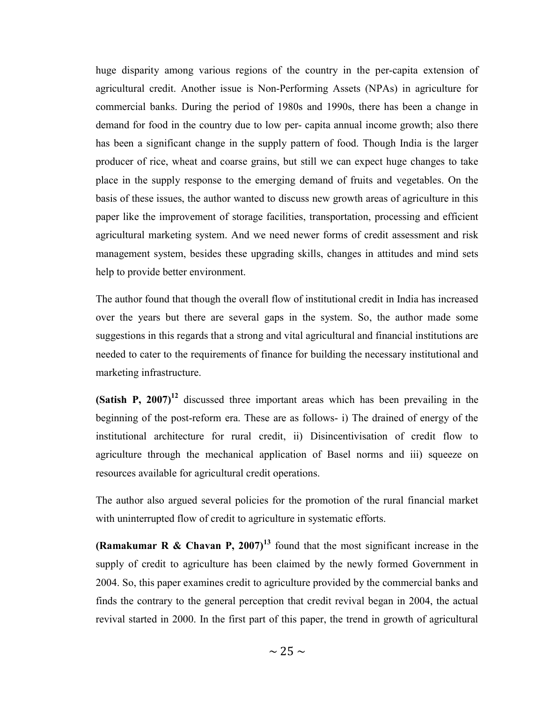huge disparity among various regions of the country in the per-capita extension of agricultural credit. Another issue is Non-Performing Assets (NPAs) in agriculture for commercial banks. During the period of 1980s and 1990s, there has been a change in demand for food in the country due to low per- capita annual income growth; also there has been a significant change in the supply pattern of food. Though India is the larger producer of rice, wheat and coarse grains, but still we can expect huge changes to take place in the supply response to the emerging demand of fruits and vegetables. On the basis of these issues, the author wanted to discuss new growth areas of agriculture in this paper like the improvement of storage facilities, transportation, processing and efficient agricultural marketing system. And we need newer forms of credit assessment and risk management system, besides these upgrading skills, changes in attitudes and mind sets help to provide better environment.

The author found that though the overall flow of institutional credit in India has increased over the years but there are several gaps in the system. So, the author made some suggestions in this regards that a strong and vital agricultural and financial institutions are needed to cater to the requirements of finance for building the necessary institutional and marketing infrastructure.

(Satish P,  $2007$ )<sup>12</sup> discussed three important areas which has been prevailing in the beginning of the post-reform era. These are as follows- i) The drained of energy of the institutional architecture for rural credit, ii) Disincentivisation of credit flow to agriculture through the mechanical application of Basel norms and iii) squeeze on resources available for agricultural credit operations.

The author also argued several policies for the promotion of the rural financial market with uninterrupted flow of credit to agriculture in systematic efforts.

(Ramakumar R & Chavan P, 2007)<sup>13</sup> found that the most significant increase in the supply of credit to agriculture has been claimed by the newly formed Government in 2004. So, this paper examines credit to agriculture provided by the commercial banks and finds the contrary to the general perception that credit revival began in 2004, the actual revival started in 2000. In the first part of this paper, the trend in growth of agricultural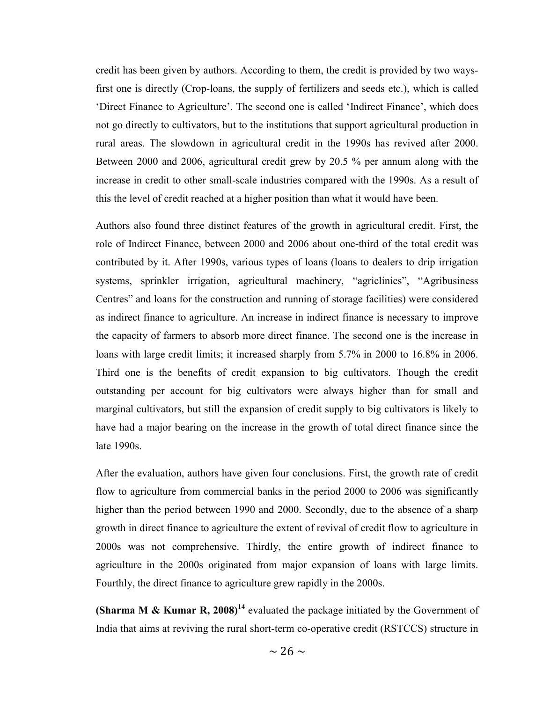credit has been given by authors. According to them, the credit is provided by two waysfirst one is directly (Crop-loans, the supply of fertilizers and seeds etc.), which is called 'Direct Finance to Agriculture'. The second one is called 'Indirect Finance', which does not go directly to cultivators, but to the institutions that support agricultural production in rural areas. The slowdown in agricultural credit in the 1990s has revived after 2000. Between 2000 and 2006, agricultural credit grew by 20.5 % per annum along with the increase in credit to other small-scale industries compared with the 1990s. As a result of this the level of credit reached at a higher position than what it would have been.

Authors also found three distinct features of the growth in agricultural credit. First, the role of Indirect Finance, between 2000 and 2006 about one-third of the total credit was contributed by it. After 1990s, various types of loans (loans to dealers to drip irrigation systems, sprinkler irrigation, agricultural machinery, "agriclinics", "Agribusiness Centres" and loans for the construction and running of storage facilities) were considered as indirect finance to agriculture. An increase in indirect finance is necessary to improve the capacity of farmers to absorb more direct finance. The second one is the increase in loans with large credit limits; it increased sharply from 5.7% in 2000 to 16.8% in 2006. Third one is the benefits of credit expansion to big cultivators. Though the credit outstanding per account for big cultivators were always higher than for small and marginal cultivators, but still the expansion of credit supply to big cultivators is likely to have had a major bearing on the increase in the growth of total direct finance since the late 1990s.

After the evaluation, authors have given four conclusions. First, the growth rate of credit flow to agriculture from commercial banks in the period 2000 to 2006 was significantly higher than the period between 1990 and 2000. Secondly, due to the absence of a sharp growth in direct finance to agriculture the extent of revival of credit flow to agriculture in 2000s was not comprehensive. Thirdly, the entire growth of indirect finance to agriculture in the 2000s originated from major expansion of loans with large limits. Fourthly, the direct finance to agriculture grew rapidly in the 2000s.

(Sharma M & Kumar R, 2008)<sup>14</sup> evaluated the package initiated by the Government of India that aims at reviving the rural short-term co-operative credit (RSTCCS) structure in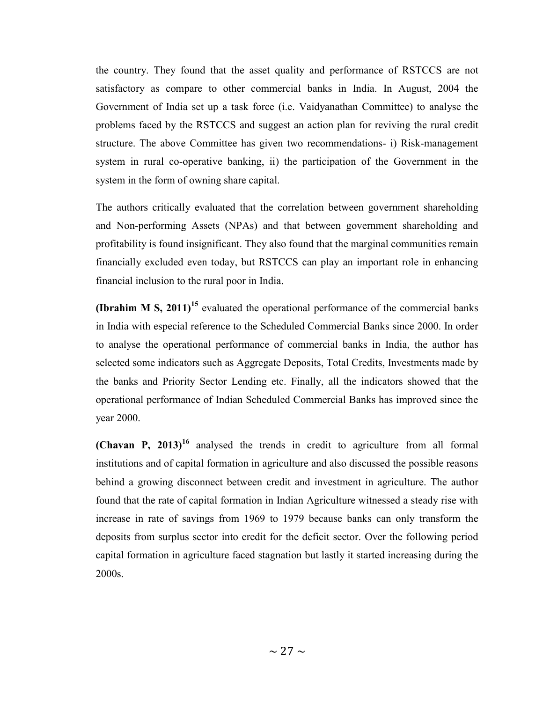the country. They found that the asset quality and performance of RSTCCS are not satisfactory as compare to other commercial banks in India. In August, 2004 the Government of India set up a task force (i.e. Vaidyanathan Committee) to analyse the problems faced by the RSTCCS and suggest an action plan for reviving the rural credit structure. The above Committee has given two recommendations- i) Risk-management system in rural co-operative banking, ii) the participation of the Government in the system in the form of owning share capital.

The authors critically evaluated that the correlation between government shareholding and Non-performing Assets (NPAs) and that between government shareholding and profitability is found insignificant. They also found that the marginal communities remain financially excluded even today, but RSTCCS can play an important role in enhancing financial inclusion to the rural poor in India.

**(Ibrahim M S, 2011)**<sup>15</sup> evaluated the operational performance of the commercial banks in India with especial reference to the Scheduled Commercial Banks since 2000. In order to analyse the operational performance of commercial banks in India, the author has selected some indicators such as Aggregate Deposits, Total Credits, Investments made by the banks and Priority Sector Lending etc. Finally, all the indicators showed that the operational performance of Indian Scheduled Commercial Banks has improved since the year 2000.

(Chavan P,  $2013$ )<sup>16</sup> analysed the trends in credit to agriculture from all formal institutions and of capital formation in agriculture and also discussed the possible reasons behind a growing disconnect between credit and investment in agriculture. The author found that the rate of capital formation in Indian Agriculture witnessed a steady rise with increase in rate of savings from 1969 to 1979 because banks can only transform the deposits from surplus sector into credit for the deficit sector. Over the following period capital formation in agriculture faced stagnation but lastly it started increasing during the 2000s.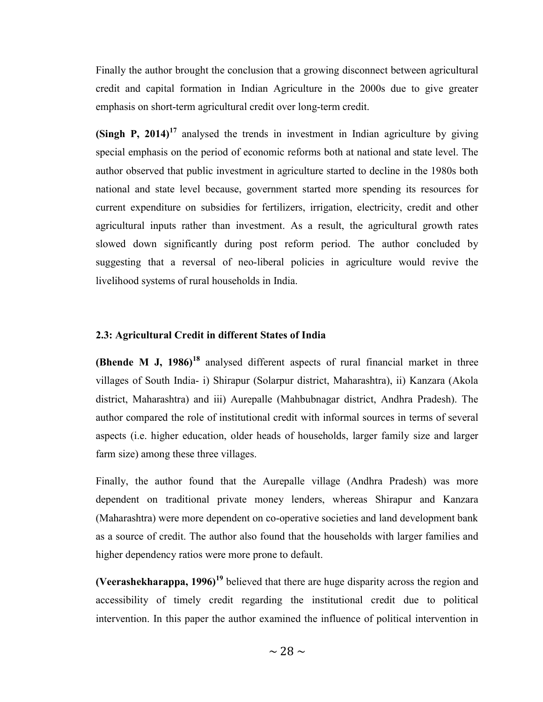Finally the author brought the conclusion that a growing disconnect between agricultural credit and capital formation in Indian Agriculture in the 2000s due to give greater emphasis on short-term agricultural credit over long-term credit.

(Singh P, 2014)<sup>17</sup> analysed the trends in investment in Indian agriculture by giving special emphasis on the period of economic reforms both at national and state level. The author observed that public investment in agriculture started to decline in the 1980s both national and state level because, government started more spending its resources for current expenditure on subsidies for fertilizers, irrigation, electricity, credit and other agricultural inputs rather than investment. As a result, the agricultural growth rates slowed down significantly during post reform period. The author concluded by suggesting that a reversal of neo-liberal policies in agriculture would revive the livelihood systems of rural households in India.

#### 2.3: Agricultural Credit in different States of India

(Bhende M J,  $1986$ <sup>18</sup> analysed different aspects of rural financial market in three villages of South India- i) Shirapur (Solarpur district, Maharashtra), ii) Kanzara (Akola district, Maharashtra) and iii) Aurepalle (Mahbubnagar district, Andhra Pradesh). The author compared the role of institutional credit with informal sources in terms of several aspects (i.e. higher education, older heads of households, larger family size and larger farm size) among these three villages.

Finally, the author found that the Aurepalle village (Andhra Pradesh) was more dependent on traditional private money lenders, whereas Shirapur and Kanzara (Maharashtra) were more dependent on co-operative societies and land development bank as a source of credit. The author also found that the households with larger families and higher dependency ratios were more prone to default.

(Veerashekharappa,  $1996$ <sup>19</sup> believed that there are huge disparity across the region and accessibility of timely credit regarding the institutional credit due to political intervention. In this paper the author examined the influence of political intervention in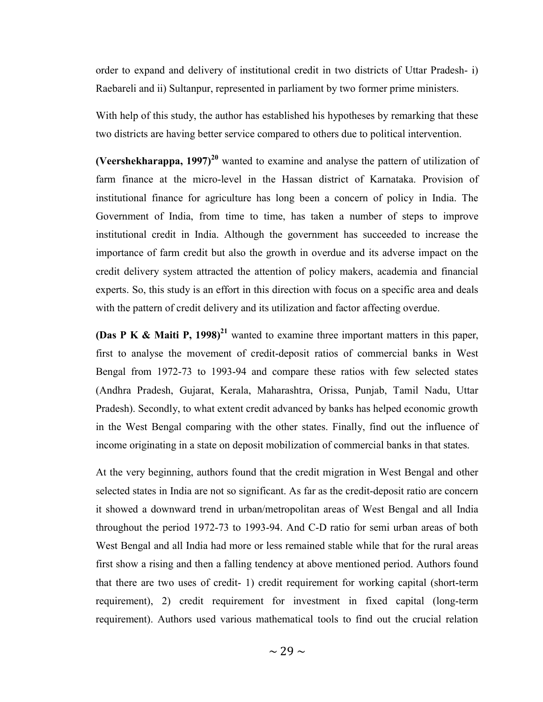order to expand and delivery of institutional credit in two districts of Uttar Pradesh- i) Raebareli and ii) Sultanpur, represented in parliament by two former prime ministers.

With help of this study, the author has established his hypotheses by remarking that these two districts are having better service compared to others due to political intervention.

(Veershekharappa, 1997)<sup>20</sup> wanted to examine and analyse the pattern of utilization of farm finance at the micro-level in the Hassan district of Karnataka. Provision of institutional finance for agriculture has long been a concern of policy in India. The Government of India, from time to time, has taken a number of steps to improve institutional credit in India. Although the government has succeeded to increase the importance of farm credit but also the growth in overdue and its adverse impact on the credit delivery system attracted the attention of policy makers, academia and financial experts. So, this study is an effort in this direction with focus on a specific area and deals with the pattern of credit delivery and its utilization and factor affecting overdue.

(Das P K & Maiti P, 1998)<sup>21</sup> wanted to examine three important matters in this paper, first to analyse the movement of credit-deposit ratios of commercial banks in West Bengal from 1972-73 to 1993-94 and compare these ratios with few selected states (Andhra Pradesh, Gujarat, Kerala, Maharashtra, Orissa, Punjab, Tamil Nadu, Uttar Pradesh). Secondly, to what extent credit advanced by banks has helped economic growth in the West Bengal comparing with the other states. Finally, find out the influence of income originating in a state on deposit mobilization of commercial banks in that states.

At the very beginning, authors found that the credit migration in West Bengal and other selected states in India are not so significant. As far as the credit-deposit ratio are concern it showed a downward trend in urban/metropolitan areas of West Bengal and all India throughout the period 1972-73 to 1993-94. And C-D ratio for semi urban areas of both West Bengal and all India had more or less remained stable while that for the rural areas first show a rising and then a falling tendency at above mentioned period. Authors found that there are two uses of credit- 1) credit requirement for working capital (short-term requirement), 2) credit requirement for investment in fixed capital (long-term requirement). Authors used various mathematical tools to find out the crucial relation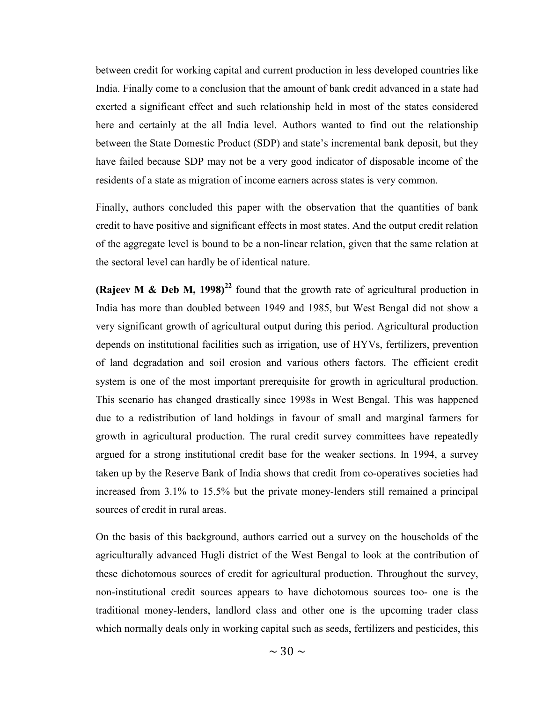between credit for working capital and current production in less developed countries like India. Finally come to a conclusion that the amount of bank credit advanced in a state had exerted a significant effect and such relationship held in most of the states considered here and certainly at the all India level. Authors wanted to find out the relationship between the State Domestic Product (SDP) and state's incremental bank deposit, but they have failed because SDP may not be a very good indicator of disposable income of the residents of a state as migration of income earners across states is very common.

Finally, authors concluded this paper with the observation that the quantities of bank credit to have positive and significant effects in most states. And the output credit relation of the aggregate level is bound to be a non-linear relation, given that the same relation at the sectoral level can hardly be of identical nature.

(Rajeev M & Deb M, 1998)<sup>22</sup> found that the growth rate of agricultural production in India has more than doubled between 1949 and 1985, but West Bengal did not show a very significant growth of agricultural output during this period. Agricultural production depends on institutional facilities such as irrigation, use of HYVs, fertilizers, prevention of land degradation and soil erosion and various others factors. The efficient credit system is one of the most important prerequisite for growth in agricultural production. This scenario has changed drastically since 1998s in West Bengal. This was happened due to a redistribution of land holdings in favour of small and marginal farmers for growth in agricultural production. The rural credit survey committees have repeatedly argued for a strong institutional credit base for the weaker sections. In 1994, a survey taken up by the Reserve Bank of India shows that credit from co-operatives societies had increased from 3.1% to 15.5% but the private money-lenders still remained a principal sources of credit in rural areas.

On the basis of this background, authors carried out a survey on the households of the agriculturally advanced Hugli district of the West Bengal to look at the contribution of these dichotomous sources of credit for agricultural production. Throughout the survey, non-institutional credit sources appears to have dichotomous sources too- one is the traditional money-lenders, landlord class and other one is the upcoming trader class which normally deals only in working capital such as seeds, fertilizers and pesticides, this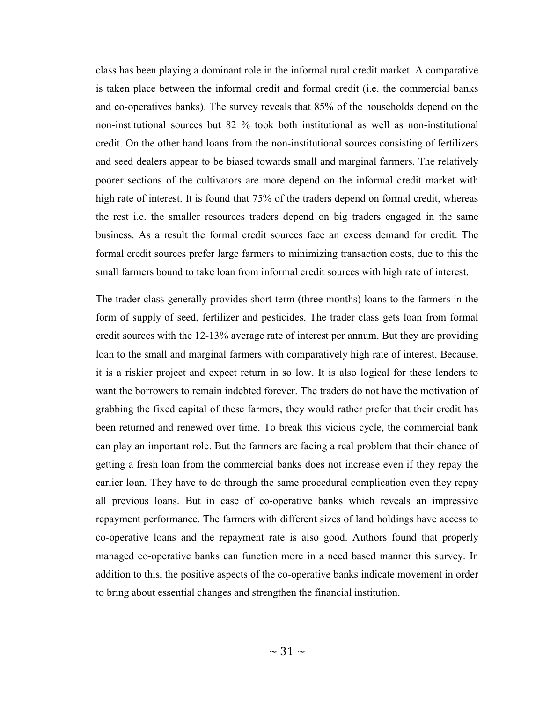class has been playing a dominant role in the informal rural credit market. A comparative is taken place between the informal credit and formal credit (i.e. the commercial banks and co-operatives banks). The survey reveals that 85% of the households depend on the non-institutional sources but 82 % took both institutional as well as non-institutional credit. On the other hand loans from the non-institutional sources consisting of fertilizers and seed dealers appear to be biased towards small and marginal farmers. The relatively poorer sections of the cultivators are more depend on the informal credit market with high rate of interest. It is found that 75% of the traders depend on formal credit, whereas the rest i.e. the smaller resources traders depend on big traders engaged in the same business. As a result the formal credit sources face an excess demand for credit. The formal credit sources prefer large farmers to minimizing transaction costs, due to this the small farmers bound to take loan from informal credit sources with high rate of interest.

The trader class generally provides short-term (three months) loans to the farmers in the form of supply of seed, fertilizer and pesticides. The trader class gets loan from formal credit sources with the 12-13% average rate of interest per annum. But they are providing loan to the small and marginal farmers with comparatively high rate of interest. Because, it is a riskier project and expect return in so low. It is also logical for these lenders to want the borrowers to remain indebted forever. The traders do not have the motivation of grabbing the fixed capital of these farmers, they would rather prefer that their credit has been returned and renewed over time. To break this vicious cycle, the commercial bank can play an important role. But the farmers are facing a real problem that their chance of getting a fresh loan from the commercial banks does not increase even if they repay the earlier loan. They have to do through the same procedural complication even they repay all previous loans. But in case of co-operative banks which reveals an impressive repayment performance. The farmers with different sizes of land holdings have access to co-operative loans and the repayment rate is also good. Authors found that properly managed co-operative banks can function more in a need based manner this survey. In addition to this, the positive aspects of the co-operative banks indicate movement in order to bring about essential changes and strengthen the financial institution.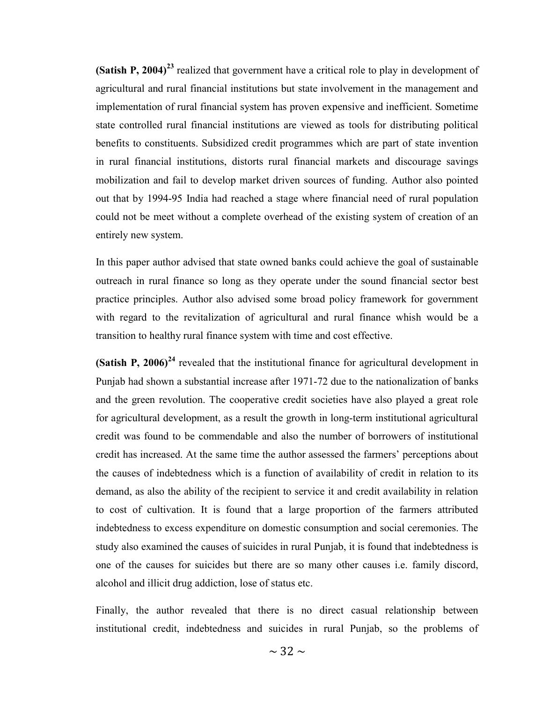(Satish P, 2004)<sup>23</sup> realized that government have a critical role to play in development of agricultural and rural financial institutions but state involvement in the management and implementation of rural financial system has proven expensive and inefficient. Sometime state controlled rural financial institutions are viewed as tools for distributing political benefits to constituents. Subsidized credit programmes which are part of state invention in rural financial institutions, distorts rural financial markets and discourage savings mobilization and fail to develop market driven sources of funding. Author also pointed out that by 1994-95 India had reached a stage where financial need of rural population could not be meet without a complete overhead of the existing system of creation of an entirely new system.

In this paper author advised that state owned banks could achieve the goal of sustainable outreach in rural finance so long as they operate under the sound financial sector best practice principles. Author also advised some broad policy framework for government with regard to the revitalization of agricultural and rural finance whish would be a transition to healthy rural finance system with time and cost effective.

(Satish P, 2006)<sup>24</sup> revealed that the institutional finance for agricultural development in Punjab had shown a substantial increase after 1971-72 due to the nationalization of banks and the green revolution. The cooperative credit societies have also played a great role for agricultural development, as a result the growth in long-term institutional agricultural credit was found to be commendable and also the number of borrowers of institutional credit has increased. At the same time the author assessed the farmers' perceptions about the causes of indebtedness which is a function of availability of credit in relation to its demand, as also the ability of the recipient to service it and credit availability in relation to cost of cultivation. It is found that a large proportion of the farmers attributed indebtedness to excess expenditure on domestic consumption and social ceremonies. The study also examined the causes of suicides in rural Punjab, it is found that indebtedness is one of the causes for suicides but there are so many other causes i.e. family discord, alcohol and illicit drug addiction, lose of status etc.

Finally, the author revealed that there is no direct casual relationship between institutional credit, indebtedness and suicides in rural Punjab, so the problems of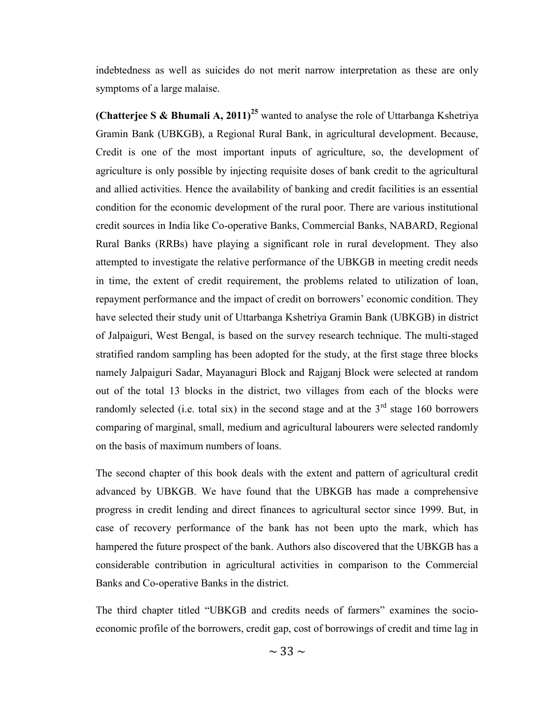indebtedness as well as suicides do not merit narrow interpretation as these are only symptoms of a large malaise.

**(Chatterjee S & Bhumali A, 2011)**<sup>25</sup> wanted to analyse the role of Uttarbanga Kshetriya Gramin Bank (UBKGB), a Regional Rural Bank, in agricultural development. Because, Credit is one of the most important inputs of agriculture, so, the development of agriculture is only possible by injecting requisite doses of bank credit to the agricultural and allied activities. Hence the availability of banking and credit facilities is an essential condition for the economic development of the rural poor. There are various institutional credit sources in India like Co-operative Banks, Commercial Banks, NABARD, Regional Rural Banks (RRBs) have playing a significant role in rural development. They also attempted to investigate the relative performance of the UBKGB in meeting credit needs in time, the extent of credit requirement, the problems related to utilization of loan, repayment performance and the impact of credit on borrowers' economic condition. They have selected their study unit of Uttarbanga Kshetriya Gramin Bank (UBKGB) in district of Jalpaiguri, West Bengal, is based on the survey research technique. The multi-staged stratified random sampling has been adopted for the study, at the first stage three blocks namely Jalpaiguri Sadar, Mayanaguri Block and Rajganj Block were selected at random out of the total 13 blocks in the district, two villages from each of the blocks were randomly selected (i.e. total six) in the second stage and at the  $3<sup>rd</sup>$  stage 160 borrowers comparing of marginal, small, medium and agricultural labourers were selected randomly on the basis of maximum numbers of loans.

The second chapter of this book deals with the extent and pattern of agricultural credit advanced by UBKGB. We have found that the UBKGB has made a comprehensive progress in credit lending and direct finances to agricultural sector since 1999. But, in case of recovery performance of the bank has not been upto the mark, which has hampered the future prospect of the bank. Authors also discovered that the UBKGB has a considerable contribution in agricultural activities in comparison to the Commercial Banks and Co-operative Banks in the district.

The third chapter titled "UBKGB and credits needs of farmers" examines the socioeconomic profile of the borrowers, credit gap, cost of borrowings of credit and time lag in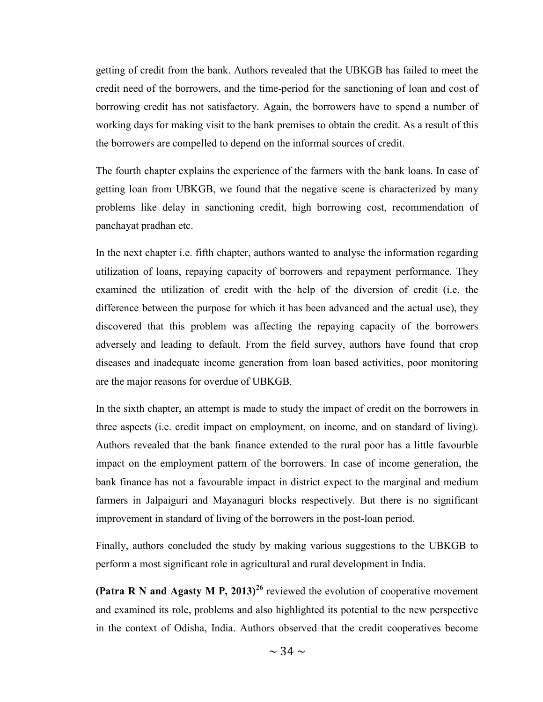getting of credit from the bank. Authors revealed that the UBKGB has failed to meet the credit need of the borrowers, and the time-period for the sanctioning of loan and cost of borrowing credit has not satisfactory. Again, the borrowers have to spend a number of working days for making visit to the bank premises to obtain the credit. As a result of this the borrowers are compelled to depend on the informal sources of credit.

The fourth chapter explains the experience of the farmers with the bank loans. In case of getting loan from UBKGB, we found that the negative scene is characterized by many problems like delay in sanctioning credit, high borrowing cost, recommendation of panchayat pradhan etc.

In the next chapter i.e. fifth chapter, authors wanted to analyse the information regarding utilization of loans, repaying capacity of borrowers and repayment performance. They examined the utilization of credit with the help of the diversion of credit (i.e. the difference between the purpose for which it has been advanced and the actual use), they discovered that this problem was affecting the repaying capacity of the borrowers adversely and leading to default. From the field survey, authors have found that crop diseases and inadequate income generation from loan based activities, poor monitoring are the major reasons for overdue of UBKGB.

In the sixth chapter, an attempt is made to study the impact of credit on the borrowers in three aspects (i.e. credit impact on employment, on income, and on standard of living). Authors revealed that the bank finance extended to the rural poor has a little favourble impact on the employment pattern of the borrowers. In case of income generation, the bank finance has not a favourable impact in district expect to the marginal and medium farmers in Jalpaiguri and Mayanaguri blocks respectively. But there is no significant improvement in standard of living of the borrowers in the post-loan period.

Finally, authors concluded the study by making various suggestions to the UBKGB to perform a most significant role in agricultural and rural development in India.

(Patra R N and Agasty M P, 2013)<sup>26</sup> reviewed the evolution of cooperative movement and examined its role, problems and also highlighted its potential to the new perspective in the context of Odisha, India. Authors observed that the credit cooperatives become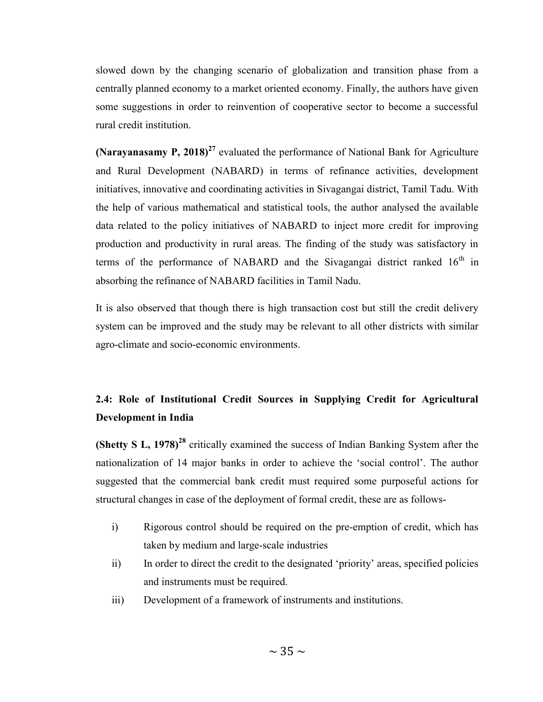slowed down by the changing scenario of globalization and transition phase from a centrally planned economy to a market oriented economy. Finally, the authors have given some suggestions in order to reinvention of cooperative sector to become a successful rural credit institution.

(Narayanasamy P, 2018)<sup>27</sup> evaluated the performance of National Bank for Agriculture and Rural Development (NABARD) in terms of refinance activities, development initiatives, innovative and coordinating activities in Sivagangai district, Tamil Tadu. With the help of various mathematical and statistical tools, the author analysed the available data related to the policy initiatives of NABARD to inject more credit for improving production and productivity in rural areas. The finding of the study was satisfactory in terms of the performance of NABARD and the Sivagangai district ranked  $16<sup>th</sup>$  in absorbing the refinance of NABARD facilities in Tamil Nadu.

It is also observed that though there is high transaction cost but still the credit delivery system can be improved and the study may be relevant to all other districts with similar agro-climate and socio-economic environments.

# 2.4: Role of Institutional Credit Sources in Supplying Credit for Agricultural Development in India

(Shetty S L,  $1978$ )<sup>28</sup> critically examined the success of Indian Banking System after the nationalization of 14 major banks in order to achieve the 'social control'. The author suggested that the commercial bank credit must required some purposeful actions for structural changes in case of the deployment of formal credit, these are as follows-

- i) Rigorous control should be required on the pre-emption of credit, which has taken by medium and large-scale industries
- ii) In order to direct the credit to the designated 'priority' areas, specified policies and instruments must be required.
- iii) Development of a framework of instruments and institutions.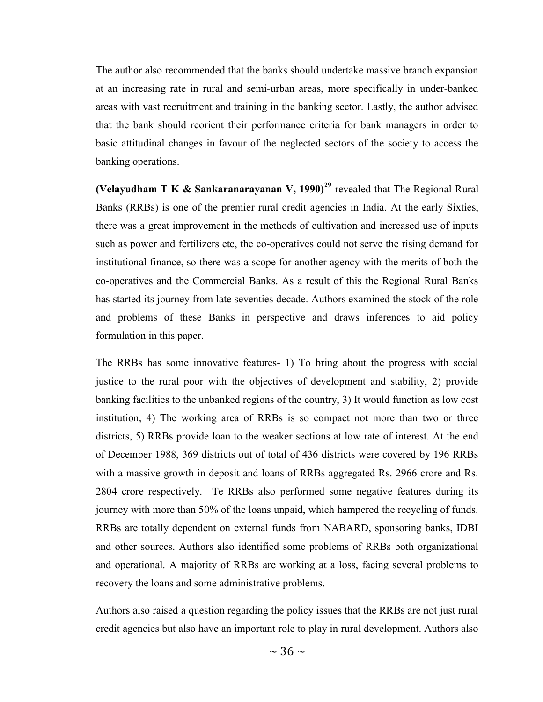The author also recommended that the banks should undertake massive branch expansion at an increasing rate in rural and semi-urban areas, more specifically in under-banked areas with vast recruitment and training in the banking sector. Lastly, the author advised that the bank should reorient their performance criteria for bank managers in order to basic attitudinal changes in favour of the neglected sectors of the society to access the banking operations.

(Velayudham T K & Sankaranarayanan V, 1990)<sup>29</sup> revealed that The Regional Rural Banks (RRBs) is one of the premier rural credit agencies in India. At the early Sixties, there was a great improvement in the methods of cultivation and increased use of inputs such as power and fertilizers etc, the co-operatives could not serve the rising demand for institutional finance, so there was a scope for another agency with the merits of both the co-operatives and the Commercial Banks. As a result of this the Regional Rural Banks has started its journey from late seventies decade. Authors examined the stock of the role and problems of these Banks in perspective and draws inferences to aid policy formulation in this paper.

The RRBs has some innovative features- 1) To bring about the progress with social justice to the rural poor with the objectives of development and stability, 2) provide banking facilities to the unbanked regions of the country, 3) It would function as low cost institution, 4) The working area of RRBs is so compact not more than two or three districts, 5) RRBs provide loan to the weaker sections at low rate of interest. At the end of December 1988, 369 districts out of total of 436 districts were covered by 196 RRBs with a massive growth in deposit and loans of RRBs aggregated Rs. 2966 crore and Rs. 2804 crore respectively. Te RRBs also performed some negative features during its journey with more than 50% of the loans unpaid, which hampered the recycling of funds. RRBs are totally dependent on external funds from NABARD, sponsoring banks, IDBI and other sources. Authors also identified some problems of RRBs both organizational and operational. A majority of RRBs are working at a loss, facing several problems to recovery the loans and some administrative problems.

Authors also raised a question regarding the policy issues that the RRBs are not just rural credit agencies but also have an important role to play in rural development. Authors also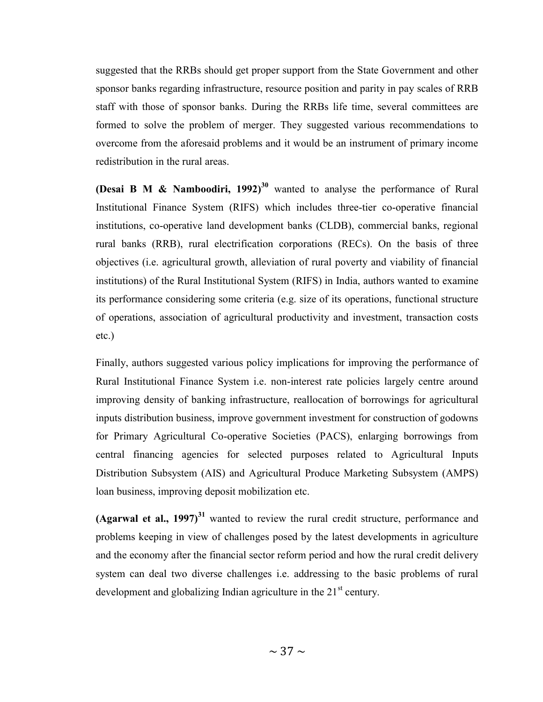suggested that the RRBs should get proper support from the State Government and other sponsor banks regarding infrastructure, resource position and parity in pay scales of RRB staff with those of sponsor banks. During the RRBs life time, several committees are formed to solve the problem of merger. They suggested various recommendations to overcome from the aforesaid problems and it would be an instrument of primary income redistribution in the rural areas.

(Desai B M & Namboodiri, 1992)<sup>30</sup> wanted to analyse the performance of Rural Institutional Finance System (RIFS) which includes three-tier co-operative financial institutions, co-operative land development banks (CLDB), commercial banks, regional rural banks (RRB), rural electrification corporations (RECs). On the basis of three objectives (i.e. agricultural growth, alleviation of rural poverty and viability of financial institutions) of the Rural Institutional System (RIFS) in India, authors wanted to examine its performance considering some criteria (e.g. size of its operations, functional structure of operations, association of agricultural productivity and investment, transaction costs etc.)

Finally, authors suggested various policy implications for improving the performance of Rural Institutional Finance System i.e. non-interest rate policies largely centre around improving density of banking infrastructure, reallocation of borrowings for agricultural inputs distribution business, improve government investment for construction of godowns for Primary Agricultural Co-operative Societies (PACS), enlarging borrowings from central financing agencies for selected purposes related to Agricultural Inputs Distribution Subsystem (AIS) and Agricultural Produce Marketing Subsystem (AMPS) loan business, improving deposit mobilization etc.

(Agarwal et al.,  $1997$ )<sup>31</sup> wanted to review the rural credit structure, performance and problems keeping in view of challenges posed by the latest developments in agriculture and the economy after the financial sector reform period and how the rural credit delivery system can deal two diverse challenges i.e. addressing to the basic problems of rural development and globalizing Indian agriculture in the  $21<sup>st</sup>$  century.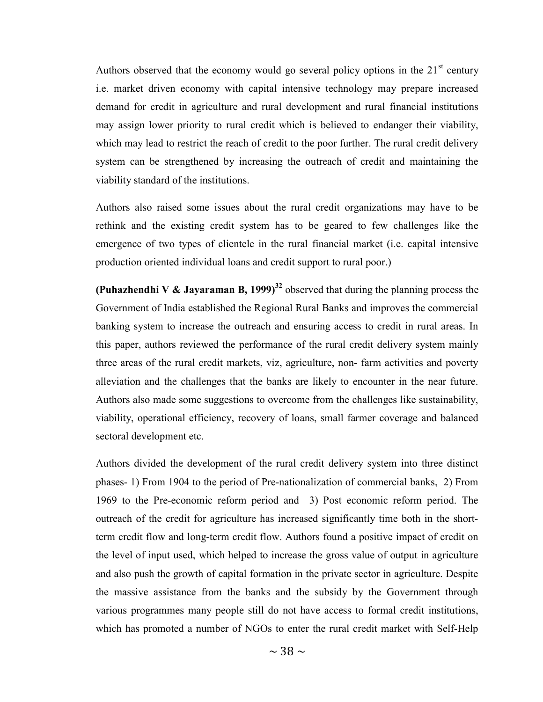Authors observed that the economy would go several policy options in the  $21<sup>st</sup>$  century i.e. market driven economy with capital intensive technology may prepare increased demand for credit in agriculture and rural development and rural financial institutions may assign lower priority to rural credit which is believed to endanger their viability, which may lead to restrict the reach of credit to the poor further. The rural credit delivery system can be strengthened by increasing the outreach of credit and maintaining the viability standard of the institutions.

Authors also raised some issues about the rural credit organizations may have to be rethink and the existing credit system has to be geared to few challenges like the emergence of two types of clientele in the rural financial market (i.e. capital intensive production oriented individual loans and credit support to rural poor.)

(Puhazhendhi V & Jayaraman B, 1999)<sup>32</sup> observed that during the planning process the Government of India established the Regional Rural Banks and improves the commercial banking system to increase the outreach and ensuring access to credit in rural areas. In this paper, authors reviewed the performance of the rural credit delivery system mainly three areas of the rural credit markets, viz, agriculture, non- farm activities and poverty alleviation and the challenges that the banks are likely to encounter in the near future. Authors also made some suggestions to overcome from the challenges like sustainability, viability, operational efficiency, recovery of loans, small farmer coverage and balanced sectoral development etc.

Authors divided the development of the rural credit delivery system into three distinct phases- 1) From 1904 to the period of Pre-nationalization of commercial banks, 2) From 1969 to the Pre-economic reform period and 3) Post economic reform period. The outreach of the credit for agriculture has increased significantly time both in the shortterm credit flow and long-term credit flow. Authors found a positive impact of credit on the level of input used, which helped to increase the gross value of output in agriculture and also push the growth of capital formation in the private sector in agriculture. Despite the massive assistance from the banks and the subsidy by the Government through various programmes many people still do not have access to formal credit institutions, which has promoted a number of NGOs to enter the rural credit market with Self-Help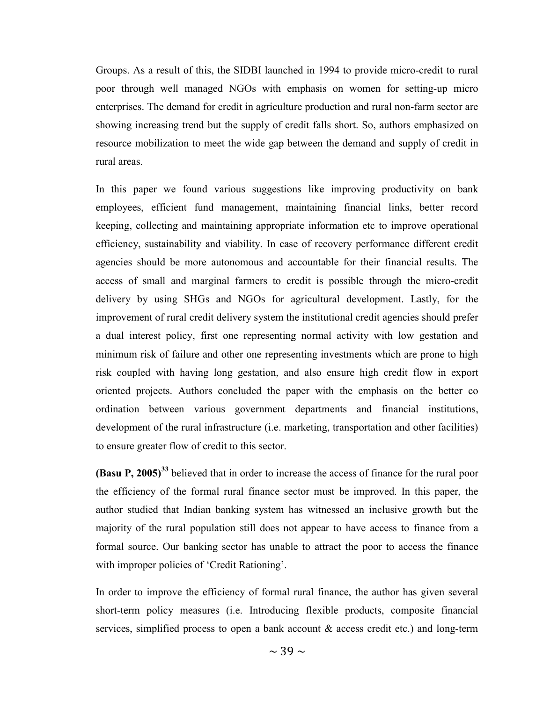Groups. As a result of this, the SIDBI launched in 1994 to provide micro-credit to rural poor through well managed NGOs with emphasis on women for setting-up micro enterprises. The demand for credit in agriculture production and rural non-farm sector are showing increasing trend but the supply of credit falls short. So, authors emphasized on resource mobilization to meet the wide gap between the demand and supply of credit in rural areas.

In this paper we found various suggestions like improving productivity on bank employees, efficient fund management, maintaining financial links, better record keeping, collecting and maintaining appropriate information etc to improve operational efficiency, sustainability and viability. In case of recovery performance different credit agencies should be more autonomous and accountable for their financial results. The access of small and marginal farmers to credit is possible through the micro-credit delivery by using SHGs and NGOs for agricultural development. Lastly, for the improvement of rural credit delivery system the institutional credit agencies should prefer a dual interest policy, first one representing normal activity with low gestation and minimum risk of failure and other one representing investments which are prone to high risk coupled with having long gestation, and also ensure high credit flow in export oriented projects. Authors concluded the paper with the emphasis on the better co ordination between various government departments and financial institutions, development of the rural infrastructure (i.e. marketing, transportation and other facilities) to ensure greater flow of credit to this sector.

**(Basu P, 2005)**<sup>33</sup> believed that in order to increase the access of finance for the rural poor the efficiency of the formal rural finance sector must be improved. In this paper, the author studied that Indian banking system has witnessed an inclusive growth but the majority of the rural population still does not appear to have access to finance from a formal source. Our banking sector has unable to attract the poor to access the finance with improper policies of 'Credit Rationing'.

In order to improve the efficiency of formal rural finance, the author has given several short-term policy measures (i.e. Introducing flexible products, composite financial services, simplified process to open a bank account & access credit etc.) and long-term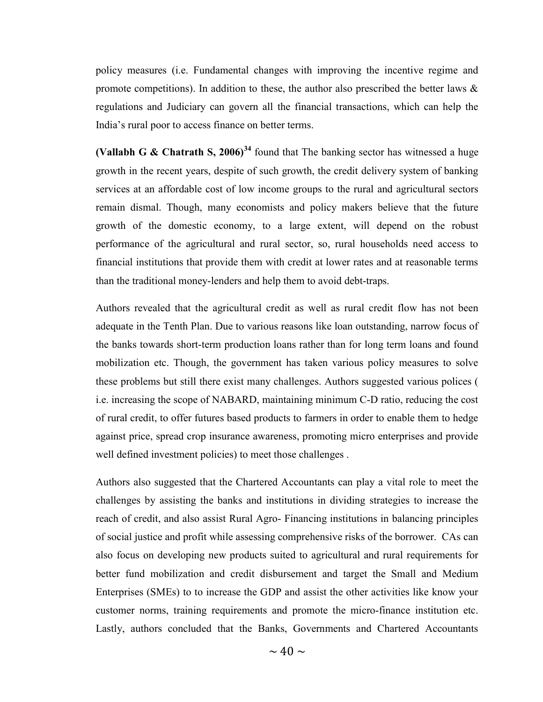policy measures (i.e. Fundamental changes with improving the incentive regime and promote competitions). In addition to these, the author also prescribed the better laws  $\&$ regulations and Judiciary can govern all the financial transactions, which can help the India's rural poor to access finance on better terms.

(Vallabh G & Chatrath S, 2006)<sup>34</sup> found that The banking sector has witnessed a huge growth in the recent years, despite of such growth, the credit delivery system of banking services at an affordable cost of low income groups to the rural and agricultural sectors remain dismal. Though, many economists and policy makers believe that the future growth of the domestic economy, to a large extent, will depend on the robust performance of the agricultural and rural sector, so, rural households need access to financial institutions that provide them with credit at lower rates and at reasonable terms than the traditional money-lenders and help them to avoid debt-traps.

Authors revealed that the agricultural credit as well as rural credit flow has not been adequate in the Tenth Plan. Due to various reasons like loan outstanding, narrow focus of the banks towards short-term production loans rather than for long term loans and found mobilization etc. Though, the government has taken various policy measures to solve these problems but still there exist many challenges. Authors suggested various polices ( i.e. increasing the scope of NABARD, maintaining minimum C-D ratio, reducing the cost of rural credit, to offer futures based products to farmers in order to enable them to hedge against price, spread crop insurance awareness, promoting micro enterprises and provide well defined investment policies) to meet those challenges .

Authors also suggested that the Chartered Accountants can play a vital role to meet the challenges by assisting the banks and institutions in dividing strategies to increase the reach of credit, and also assist Rural Agro- Financing institutions in balancing principles of social justice and profit while assessing comprehensive risks of the borrower. CAs can also focus on developing new products suited to agricultural and rural requirements for better fund mobilization and credit disbursement and target the Small and Medium Enterprises (SMEs) to to increase the GDP and assist the other activities like know your customer norms, training requirements and promote the micro-finance institution etc. Lastly, authors concluded that the Banks, Governments and Chartered Accountants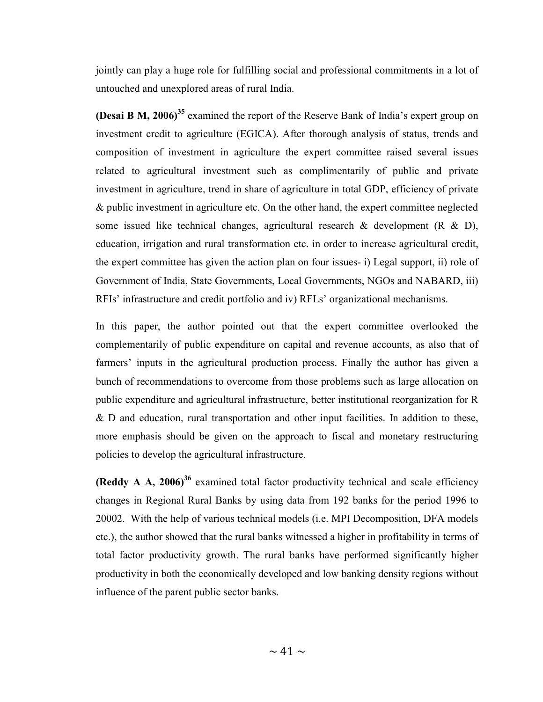jointly can play a huge role for fulfilling social and professional commitments in a lot of untouched and unexplored areas of rural India.

(Desai B M, 2006)<sup>35</sup> examined the report of the Reserve Bank of India's expert group on investment credit to agriculture (EGICA). After thorough analysis of status, trends and composition of investment in agriculture the expert committee raised several issues related to agricultural investment such as complimentarily of public and private investment in agriculture, trend in share of agriculture in total GDP, efficiency of private & public investment in agriculture etc. On the other hand, the expert committee neglected some issued like technical changes, agricultural research & development (R & D), education, irrigation and rural transformation etc. in order to increase agricultural credit, the expert committee has given the action plan on four issues- i) Legal support, ii) role of Government of India, State Governments, Local Governments, NGOs and NABARD, iii) RFIs' infrastructure and credit portfolio and iv) RFLs' organizational mechanisms.

In this paper, the author pointed out that the expert committee overlooked the complementarily of public expenditure on capital and revenue accounts, as also that of farmers' inputs in the agricultural production process. Finally the author has given a bunch of recommendations to overcome from those problems such as large allocation on public expenditure and agricultural infrastructure, better institutional reorganization for R & D and education, rural transportation and other input facilities. In addition to these, more emphasis should be given on the approach to fiscal and monetary restructuring policies to develop the agricultural infrastructure.

(Reddy A A, 2006)<sup>36</sup> examined total factor productivity technical and scale efficiency changes in Regional Rural Banks by using data from 192 banks for the period 1996 to 20002. With the help of various technical models (i.e. MPI Decomposition, DFA models etc.), the author showed that the rural banks witnessed a higher in profitability in terms of total factor productivity growth. The rural banks have performed significantly higher productivity in both the economically developed and low banking density regions without influence of the parent public sector banks.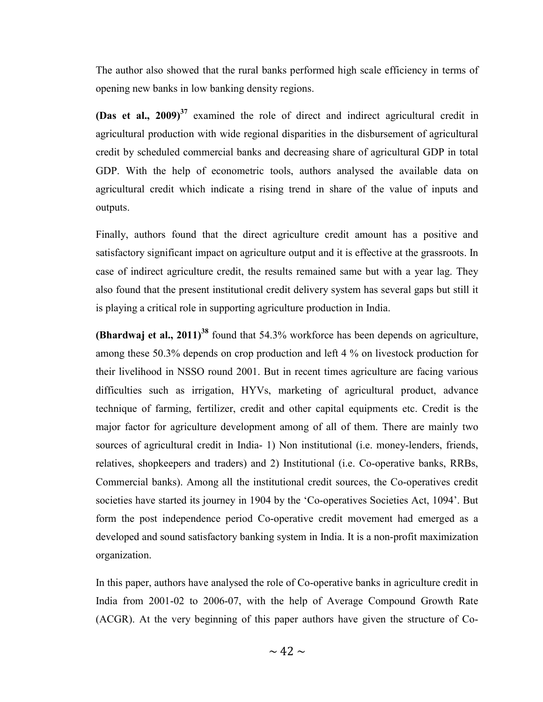The author also showed that the rural banks performed high scale efficiency in terms of opening new banks in low banking density regions.

(Das et al.,  $2009$ )<sup>37</sup> examined the role of direct and indirect agricultural credit in agricultural production with wide regional disparities in the disbursement of agricultural credit by scheduled commercial banks and decreasing share of agricultural GDP in total GDP. With the help of econometric tools, authors analysed the available data on agricultural credit which indicate a rising trend in share of the value of inputs and outputs.

Finally, authors found that the direct agriculture credit amount has a positive and satisfactory significant impact on agriculture output and it is effective at the grassroots. In case of indirect agriculture credit, the results remained same but with a year lag. They also found that the present institutional credit delivery system has several gaps but still it is playing a critical role in supporting agriculture production in India.

**(Bhardwaj et al., 2011)**<sup>38</sup> found that 54.3% workforce has been depends on agriculture, among these 50.3% depends on crop production and left 4 % on livestock production for their livelihood in NSSO round 2001. But in recent times agriculture are facing various difficulties such as irrigation, HYVs, marketing of agricultural product, advance technique of farming, fertilizer, credit and other capital equipments etc. Credit is the major factor for agriculture development among of all of them. There are mainly two sources of agricultural credit in India- 1) Non institutional (i.e. money-lenders, friends, relatives, shopkeepers and traders) and 2) Institutional (i.e. Co-operative banks, RRBs, Commercial banks). Among all the institutional credit sources, the Co-operatives credit societies have started its journey in 1904 by the 'Co-operatives Societies Act, 1094'. But form the post independence period Co-operative credit movement had emerged as a developed and sound satisfactory banking system in India. It is a non-profit maximization organization.

In this paper, authors have analysed the role of Co-operative banks in agriculture credit in India from 2001-02 to 2006-07, with the help of Average Compound Growth Rate (ACGR). At the very beginning of this paper authors have given the structure of Co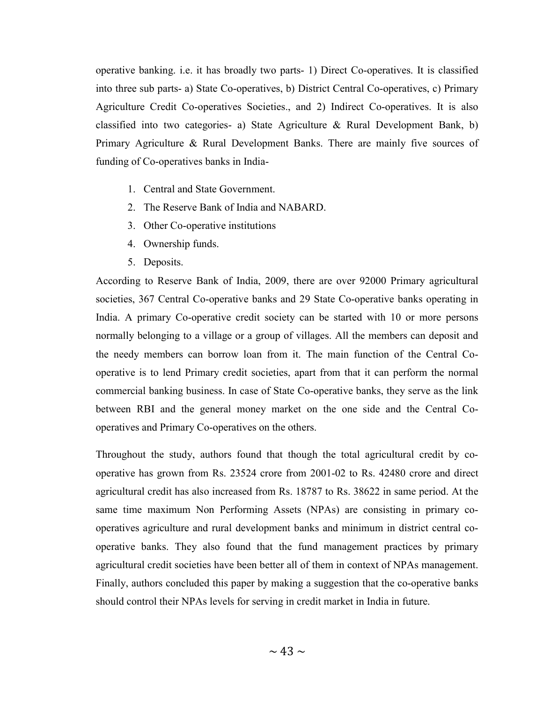operative banking. i.e. it has broadly two parts- 1) Direct Co-operatives. It is classified into three sub parts- a) State Co-operatives, b) District Central Co-operatives, c) Primary Agriculture Credit Co-operatives Societies., and 2) Indirect Co-operatives. It is also classified into two categories- a) State Agriculture & Rural Development Bank, b) Primary Agriculture & Rural Development Banks. There are mainly five sources of funding of Co-operatives banks in India-

- 1. Central and State Government.
- 2. The Reserve Bank of India and NABARD.
- 3. Other Co-operative institutions
- 4. Ownership funds.
- 5. Deposits.

According to Reserve Bank of India, 2009, there are over 92000 Primary agricultural societies, 367 Central Co-operative banks and 29 State Co-operative banks operating in India. A primary Co-operative credit society can be started with 10 or more persons normally belonging to a village or a group of villages. All the members can deposit and the needy members can borrow loan from it. The main function of the Central Cooperative is to lend Primary credit societies, apart from that it can perform the normal commercial banking business. In case of State Co-operative banks, they serve as the link between RBI and the general money market on the one side and the Central Cooperatives and Primary Co-operatives on the others.

Throughout the study, authors found that though the total agricultural credit by cooperative has grown from Rs. 23524 crore from 2001-02 to Rs. 42480 crore and direct agricultural credit has also increased from Rs. 18787 to Rs. 38622 in same period. At the same time maximum Non Performing Assets (NPAs) are consisting in primary cooperatives agriculture and rural development banks and minimum in district central cooperative banks. They also found that the fund management practices by primary agricultural credit societies have been better all of them in context of NPAs management. Finally, authors concluded this paper by making a suggestion that the co-operative banks should control their NPAs levels for serving in credit market in India in future.

 $\sim$  43  $\sim$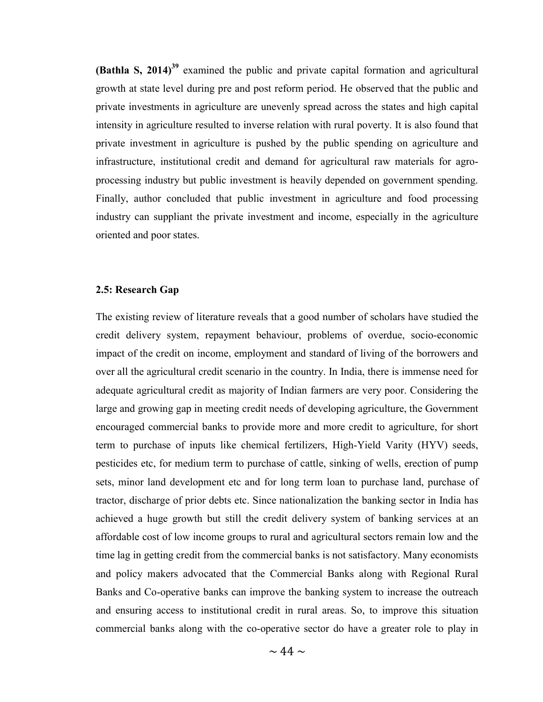(Bathla S,  $2014$ )<sup>39</sup> examined the public and private capital formation and agricultural growth at state level during pre and post reform period. He observed that the public and private investments in agriculture are unevenly spread across the states and high capital intensity in agriculture resulted to inverse relation with rural poverty. It is also found that private investment in agriculture is pushed by the public spending on agriculture and infrastructure, institutional credit and demand for agricultural raw materials for agroprocessing industry but public investment is heavily depended on government spending. Finally, author concluded that public investment in agriculture and food processing industry can suppliant the private investment and income, especially in the agriculture oriented and poor states.

#### 2.5: Research Gap

The existing review of literature reveals that a good number of scholars have studied the credit delivery system, repayment behaviour, problems of overdue, socio-economic impact of the credit on income, employment and standard of living of the borrowers and over all the agricultural credit scenario in the country. In India, there is immense need for adequate agricultural credit as majority of Indian farmers are very poor. Considering the large and growing gap in meeting credit needs of developing agriculture, the Government encouraged commercial banks to provide more and more credit to agriculture, for short term to purchase of inputs like chemical fertilizers, High-Yield Varity (HYV) seeds, pesticides etc, for medium term to purchase of cattle, sinking of wells, erection of pump sets, minor land development etc and for long term loan to purchase land, purchase of tractor, discharge of prior debts etc. Since nationalization the banking sector in India has achieved a huge growth but still the credit delivery system of banking services at an affordable cost of low income groups to rural and agricultural sectors remain low and the time lag in getting credit from the commercial banks is not satisfactory. Many economists and policy makers advocated that the Commercial Banks along with Regional Rural Banks and Co-operative banks can improve the banking system to increase the outreach and ensuring access to institutional credit in rural areas. So, to improve this situation commercial banks along with the co-operative sector do have a greater role to play in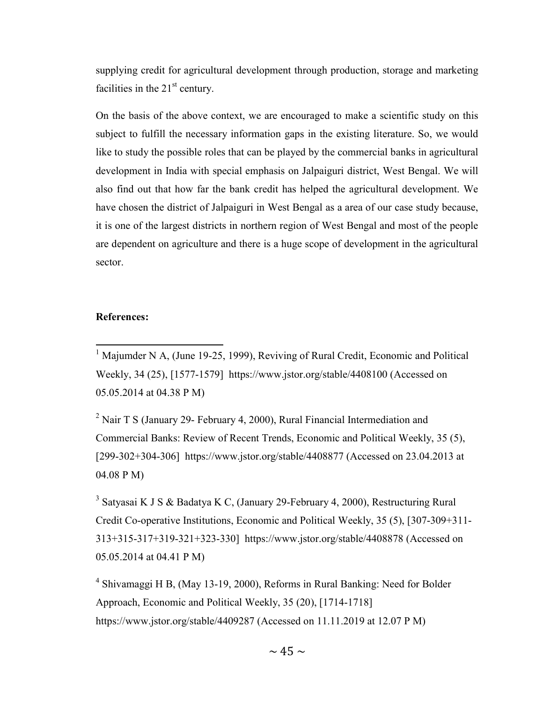supplying credit for agricultural development through production, storage and marketing facilities in the  $21<sup>st</sup>$  century.

On the basis of the above context, we are encouraged to make a scientific study on this subject to fulfill the necessary information gaps in the existing literature. So, we would like to study the possible roles that can be played by the commercial banks in agricultural development in India with special emphasis on Jalpaiguri district, West Bengal. We will also find out that how far the bank credit has helped the agricultural development. We have chosen the district of Jalpaiguri in West Bengal as a area of our case study because, it is one of the largest districts in northern region of West Bengal and most of the people are dependent on agriculture and there is a huge scope of development in the agricultural sector.

#### References:

<sup>1</sup> Majumder N A, (June 19-25, 1999), Reviving of Rural Credit, Economic and Political Weekly, 34 (25), [1577-1579] https://www.jstor.org/stable/4408100 (Accessed on 05.05.2014 at 04.38 P M)

<sup>2</sup> Nair T S (January 29- February 4, 2000), Rural Financial Intermediation and Commercial Banks: Review of Recent Trends, Economic and Political Weekly, 35 (5), [299-302+304-306] https://www.jstor.org/stable/4408877 (Accessed on 23.04.2013 at 04.08 P M)

<sup>3</sup> Satyasai K J S & Badatya K C, (January 29-February 4, 2000), Restructuring Rural Credit Co-operative Institutions, Economic and Political Weekly, 35 (5), [307-309+311- 313+315-317+319-321+323-330] https://www.jstor.org/stable/4408878 (Accessed on 05.05.2014 at 04.41 P M)

<sup>4</sup> Shivamaggi H B, (May 13-19, 2000), Reforms in Rural Banking: Need for Bolder Approach, Economic and Political Weekly, 35 (20), [1714-1718] https://www.jstor.org/stable/4409287 (Accessed on 11.11.2019 at 12.07 P M)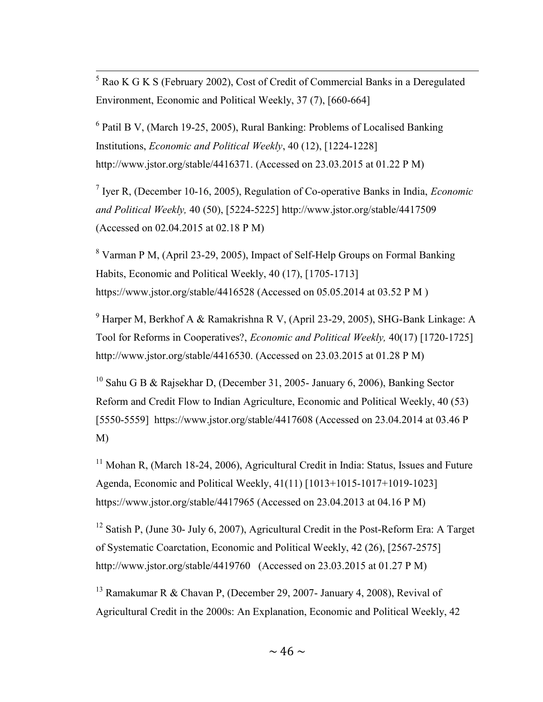<sup>5</sup> Rao K G K S (February 2002), Cost of Credit of Commercial Banks in a Deregulated Environment, Economic and Political Weekly, 37 (7), [660-664]

<sup>6</sup> Patil B V, (March 19-25, 2005), Rural Banking: Problems of Localised Banking Institutions, Economic and Political Weekly, 40 (12), [1224-1228] http://www.jstor.org/stable/4416371. (Accessed on 23.03.2015 at 01.22 P M)

<sup>7</sup> Iyer R, (December 10-16, 2005), Regulation of Co-operative Banks in India, *Economic* and Political Weekly, 40 (50), [5224-5225] http://www.jstor.org/stable/4417509 (Accessed on 02.04.2015 at 02.18 P M)

 $8$  Varman P M, (April 23-29, 2005), Impact of Self-Help Groups on Formal Banking Habits, Economic and Political Weekly, 40 (17), [1705-1713] https://www.jstor.org/stable/4416528 (Accessed on 05.05.2014 at 03.52 P M )

<sup>9</sup> Harper M, Berkhof A & Ramakrishna R V, (April 23-29, 2005), SHG-Bank Linkage: A Tool for Reforms in Cooperatives?, Economic and Political Weekly, 40(17) [1720-1725] http://www.jstor.org/stable/4416530. (Accessed on 23.03.2015 at 01.28 P M)

<sup>10</sup> Sahu G B & Rajsekhar D, (December 31, 2005- January 6, 2006), Banking Sector Reform and Credit Flow to Indian Agriculture, Economic and Political Weekly, 40 (53) [5550-5559] https://www.jstor.org/stable/4417608 (Accessed on 23.04.2014 at 03.46 P M)

 $11$  Mohan R, (March 18-24, 2006), Agricultural Credit in India: Status, Issues and Future Agenda, Economic and Political Weekly, 41(11) [1013+1015-1017+1019-1023] https://www.jstor.org/stable/4417965 (Accessed on 23.04.2013 at 04.16 P M)

<sup>12</sup> Satish P, (June 30- July 6, 2007), Agricultural Credit in the Post-Reform Era: A Target of Systematic Coarctation, Economic and Political Weekly, 42 (26), [2567-2575] http://www.jstor.org/stable/4419760 (Accessed on 23.03.2015 at 01.27 P M)

<sup>13</sup> Ramakumar R & Chavan P, (December 29, 2007- January 4, 2008), Revival of Agricultural Credit in the 2000s: An Explanation, Economic and Political Weekly, 42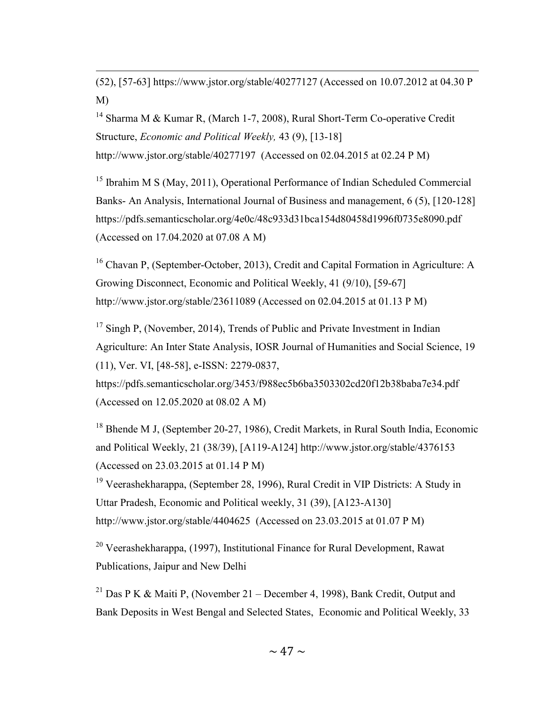(52), [57-63] https://www.jstor.org/stable/40277127 (Accessed on 10.07.2012 at 04.30 P M)

<sup>14</sup> Sharma M & Kumar R, (March 1-7, 2008), Rural Short-Term Co-operative Credit Structure, Economic and Political Weekly, 43 (9), [13-18] http://www.jstor.org/stable/40277197 (Accessed on 02.04.2015 at 02.24 P M)

<sup>15</sup> Ibrahim M S (May, 2011), Operational Performance of Indian Scheduled Commercial Banks- An Analysis, International Journal of Business and management, 6 (5), [120-128] https://pdfs.semanticscholar.org/4e0c/48c933d31bca154d80458d1996f0735e8090.pdf (Accessed on 17.04.2020 at 07.08 A M)

<sup>16</sup> Chavan P, (September-October, 2013), Credit and Capital Formation in Agriculture: A Growing Disconnect, Economic and Political Weekly, 41 (9/10), [59-67] http://www.jstor.org/stable/23611089 (Accessed on 02.04.2015 at 01.13 P M)

<sup>17</sup> Singh P, (November, 2014), Trends of Public and Private Investment in Indian Agriculture: An Inter State Analysis, IOSR Journal of Humanities and Social Science, 19 (11), Ver. VI, [48-58], e-ISSN: 2279-0837,

https://pdfs.semanticscholar.org/3453/f988ec5b6ba3503302cd20f12b38baba7e34.pdf (Accessed on 12.05.2020 at 08.02 A M)

<sup>18</sup> Bhende M J, (September 20-27, 1986), Credit Markets, in Rural South India, Economic and Political Weekly, 21 (38/39), [A119-A124] http://www.jstor.org/stable/4376153 (Accessed on 23.03.2015 at 01.14 P M)

<sup>19</sup> Veerashekharappa, (September 28, 1996), Rural Credit in VIP Districts: A Study in Uttar Pradesh, Economic and Political weekly, 31 (39), [A123-A130] http://www.jstor.org/stable/4404625 (Accessed on 23.03.2015 at 01.07 P M)

<sup>20</sup> Veerashekharappa, (1997), Institutional Finance for Rural Development, Rawat Publications, Jaipur and New Delhi

<sup>21</sup> Das P K & Maiti P, (November 21 – December 4, 1998), Bank Credit, Output and Bank Deposits in West Bengal and Selected States, Economic and Political Weekly, 33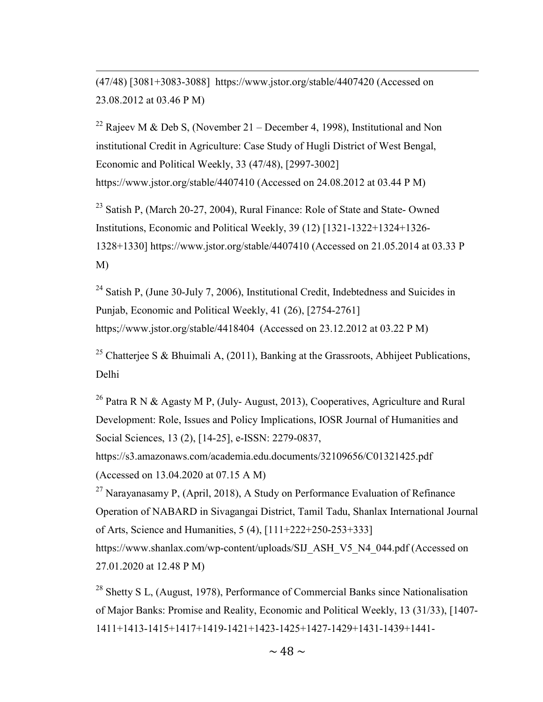(47/48) [3081+3083-3088] https://www.jstor.org/stable/4407420 (Accessed on 23.08.2012 at 03.46 P M)

<sup>22</sup> Rajeev M & Deb S, (November 21 – December 4, 1998), Institutional and Non institutional Credit in Agriculture: Case Study of Hugli District of West Bengal, Economic and Political Weekly, 33 (47/48), [2997-3002] https://www.jstor.org/stable/4407410 (Accessed on 24.08.2012 at 03.44 P M)

<sup>23</sup> Satish P, (March 20-27, 2004), Rural Finance: Role of State and State- Owned Institutions, Economic and Political Weekly, 39 (12) [1321-1322+1324+1326- 1328+1330] https://www.jstor.org/stable/4407410 (Accessed on 21.05.2014 at 03.33 P M)

 $24$  Satish P, (June 30-July 7, 2006), Institutional Credit, Indebtedness and Suicides in Punjab, Economic and Political Weekly, 41 (26), [2754-2761] https;//www.jstor.org/stable/4418404 (Accessed on 23.12.2012 at 03.22 P M)

<sup>25</sup> Chatterjee S & Bhuimali A, (2011), Banking at the Grassroots, Abhijeet Publications, Delhi

<sup>26</sup> Patra R N & Agasty M P, (July-August, 2013), Cooperatives, Agriculture and Rural Development: Role, Issues and Policy Implications, IOSR Journal of Humanities and Social Sciences, 13 (2), [14-25], e-ISSN: 2279-0837,

https://s3.amazonaws.com/academia.edu.documents/32109656/C01321425.pdf (Accessed on 13.04.2020 at 07.15 A M)

<sup>27</sup> Narayanasamy P, (April, 2018), A Study on Performance Evaluation of Refinance Operation of NABARD in Sivagangai District, Tamil Tadu, Shanlax International Journal of Arts, Science and Humanities, 5 (4), [111+222+250-253+333] https://www.shanlax.com/wp-content/uploads/SIJ\_ASH\_V5\_N4\_044.pdf (Accessed on

27.01.2020 at 12.48 P M)

<sup>28</sup> Shetty S L, (August, 1978), Performance of Commercial Banks since Nationalisation of Major Banks: Promise and Reality, Economic and Political Weekly, 13 (31/33), [1407- 1411+1413-1415+1417+1419-1421+1423-1425+1427-1429+1431-1439+1441-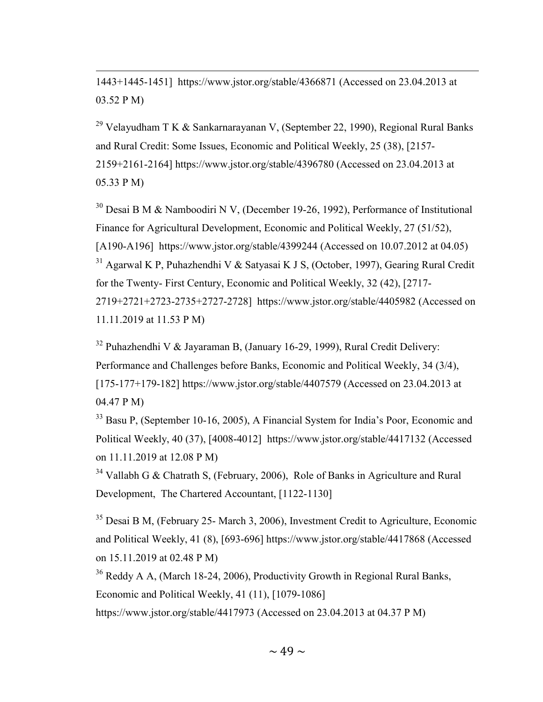1443+1445-1451] https://www.jstor.org/stable/4366871 (Accessed on 23.04.2013 at 03.52 P M)

<sup>29</sup> Velayudham T K & Sankarnarayanan V, (September 22, 1990), Regional Rural Banks and Rural Credit: Some Issues, Economic and Political Weekly, 25 (38), [2157- 2159+2161-2164] https://www.jstor.org/stable/4396780 (Accessed on 23.04.2013 at 05.33 P M)

<sup>30</sup> Desai B M & Namboodiri N V, (December 19-26, 1992), Performance of Institutional Finance for Agricultural Development, Economic and Political Weekly, 27 (51/52), [A190-A196] https://www.jstor.org/stable/4399244 (Accessed on 10.07.2012 at 04.05)  $31$  Agarwal K P, Puhazhendhi V & Satyasai K J S, (October, 1997), Gearing Rural Credit

for the Twenty- First Century, Economic and Political Weekly, 32 (42), [2717- 2719+2721+2723-2735+2727-2728] https://www.jstor.org/stable/4405982 (Accessed on 11.11.2019 at 11.53 P M)

<sup>32</sup> Puhazhendhi V & Jayaraman B, (January 16-29, 1999), Rural Credit Delivery: Performance and Challenges before Banks, Economic and Political Weekly, 34 (3/4), [175-177+179-182] https://www.jstor.org/stable/4407579 (Accessed on 23.04.2013 at 04.47 P M)

<sup>33</sup> Basu P, (September 10-16, 2005), A Financial System for India's Poor, Economic and Political Weekly, 40 (37), [4008-4012] https://www.jstor.org/stable/4417132 (Accessed on 11.11.2019 at 12.08 P M)

 $34$  Vallabh G & Chatrath S, (February, 2006), Role of Banks in Agriculture and Rural Development, The Chartered Accountant, [1122-1130]

<sup>35</sup> Desai B M, (February 25- March 3, 2006), Investment Credit to Agriculture, Economic and Political Weekly, 41 (8), [693-696] https://www.jstor.org/stable/4417868 (Accessed on 15.11.2019 at 02.48 P M)

<sup>36</sup> Reddy A A, (March 18-24, 2006), Productivity Growth in Regional Rural Banks, Economic and Political Weekly, 41 (11), [1079-1086]

https://www.jstor.org/stable/4417973 (Accessed on 23.04.2013 at 04.37 P M)

 $\sim$  49  $\sim$